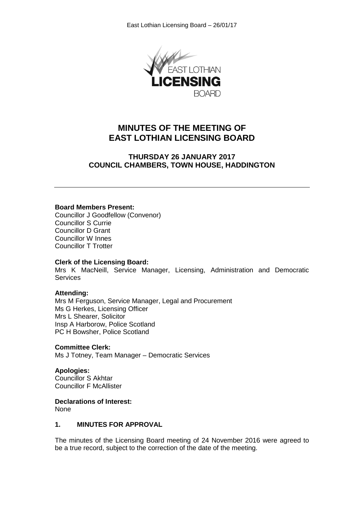

# **MINUTES OF THE MEETING OF EAST LOTHIAN LICENSING BOARD**

# **THURSDAY 26 JANUARY 2017 COUNCIL CHAMBERS, TOWN HOUSE, HADDINGTON**

## **Board Members Present:**

Councillor J Goodfellow (Convenor) Councillor S Currie Councillor D Grant Councillor W Innes Councillor T Trotter

#### **Clerk of the Licensing Board:**

Mrs K MacNeill, Service Manager, Licensing, Administration and Democratic **Services** 

#### **Attending:**

Mrs M Ferguson, Service Manager, Legal and Procurement Ms G Herkes, Licensing Officer Mrs L Shearer, Solicitor Insp A Harborow, Police Scotland PC H Bowsher, Police Scotland

#### **Committee Clerk:**

Ms J Totney, Team Manager – Democratic Services

#### **Apologies:**

Councillor S Akhtar Councillor F McAllister

#### **Declarations of Interest:**

None

## **1. MINUTES FOR APPROVAL**

The minutes of the Licensing Board meeting of 24 November 2016 were agreed to be a true record, subject to the correction of the date of the meeting.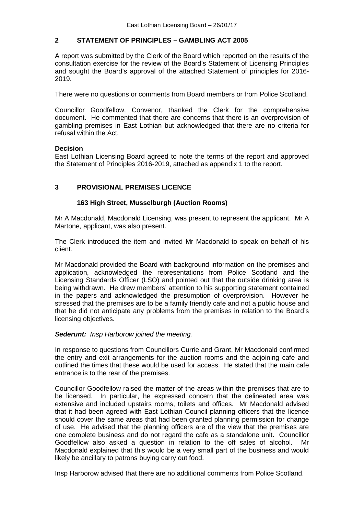# **2 STATEMENT OF PRINCIPLES – GAMBLING ACT 2005**

A report was submitted by the Clerk of the Board which reported on the results of the consultation exercise for the review of the Board's Statement of Licensing Principles and sought the Board's approval of the attached Statement of principles for 2016- 2019.

There were no questions or comments from Board members or from Police Scotland.

Councillor Goodfellow, Convenor, thanked the Clerk for the comprehensive document. He commented that there are concerns that there is an overprovision of gambling premises in East Lothian but acknowledged that there are no criteria for refusal within the Act.

## **Decision**

East Lothian Licensing Board agreed to note the terms of the report and approved the Statement of Principles 2016-2019, attached as appendix 1 to the report.

# **3 PROVISIONAL PREMISES LICENCE**

## **163 High Street, Musselburgh (Auction Rooms)**

Mr A Macdonald, Macdonald Licensing, was present to represent the applicant. Mr A Martone, applicant, was also present.

The Clerk introduced the item and invited Mr Macdonald to speak on behalf of his client.

Mr Macdonald provided the Board with background information on the premises and application, acknowledged the representations from Police Scotland and the Licensing Standards Officer (LSO) and pointed out that the outside drinking area is being withdrawn. He drew members' attention to his supporting statement contained in the papers and acknowledged the presumption of overprovision. However he stressed that the premises are to be a family friendly cafe and not a public house and that he did not anticipate any problems from the premises in relation to the Board's licensing objectives.

#### *Sederunt: Insp Harborow joined the meeting.*

In response to questions from Councillors Currie and Grant, Mr Macdonald confirmed the entry and exit arrangements for the auction rooms and the adjoining cafe and outlined the times that these would be used for access. He stated that the main cafe entrance is to the rear of the premises.

Councillor Goodfellow raised the matter of the areas within the premises that are to be licensed. In particular, he expressed concern that the delineated area was extensive and included upstairs rooms, toilets and offices. Mr Macdonald advised that it had been agreed with East Lothian Council planning officers that the licence should cover the same areas that had been granted planning permission for change of use. He advised that the planning officers are of the view that the premises are one complete business and do not regard the cafe as a standalone unit. Councillor Goodfellow also asked a question in relation to the off sales of alcohol. Mr Macdonald explained that this would be a very small part of the business and would likely be ancillary to patrons buying carry out food.

Insp Harborow advised that there are no additional comments from Police Scotland.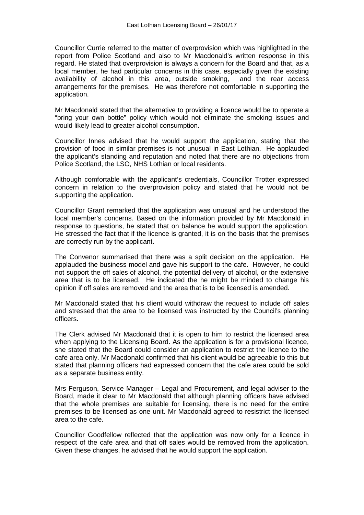Councillor Currie referred to the matter of overprovision which was highlighted in the report from Police Scotland and also to Mr Macdonald's written response in this regard. He stated that overprovision is always a concern for the Board and that, as a local member, he had particular concerns in this case, especially given the existing availability of alcohol in this area, outside smoking, and the rear access arrangements for the premises. He was therefore not comfortable in supporting the application.

Mr Macdonald stated that the alternative to providing a licence would be to operate a "bring your own bottle" policy which would not eliminate the smoking issues and would likely lead to greater alcohol consumption.

Councillor Innes advised that he would support the application, stating that the provision of food in similar premises is not unusual in East Lothian. He applauded the applicant's standing and reputation and noted that there are no objections from Police Scotland, the LSO, NHS Lothian or local residents.

Although comfortable with the applicant's credentials, Councillor Trotter expressed concern in relation to the overprovision policy and stated that he would not be supporting the application.

Councillor Grant remarked that the application was unusual and he understood the local member's concerns. Based on the information provided by Mr Macdonald in response to questions, he stated that on balance he would support the application. He stressed the fact that if the licence is granted, it is on the basis that the premises are correctly run by the applicant.

The Convenor summarised that there was a split decision on the application. He applauded the business model and gave his support to the cafe. However, he could not support the off sales of alcohol, the potential delivery of alcohol, or the extensive area that is to be licensed. He indicated the he might be minded to change his opinion if off sales are removed and the area that is to be licensed is amended.

Mr Macdonald stated that his client would withdraw the request to include off sales and stressed that the area to be licensed was instructed by the Council's planning officers.

The Clerk advised Mr Macdonald that it is open to him to restrict the licensed area when applying to the Licensing Board. As the application is for a provisional licence, she stated that the Board could consider an application to restrict the licence to the cafe area only. Mr Macdonald confirmed that his client would be agreeable to this but stated that planning officers had expressed concern that the cafe area could be sold as a separate business entity.

Mrs Ferguson, Service Manager – Legal and Procurement, and legal adviser to the Board, made it clear to Mr Macdonald that although planning officers have advised that the whole premises are suitable for licensing, there is no need for the entire premises to be licensed as one unit. Mr Macdonald agreed to resistrict the licensed area to the cafe.

Councillor Goodfellow reflected that the application was now only for a licence in respect of the cafe area and that off sales would be removed from the application. Given these changes, he advised that he would support the application.